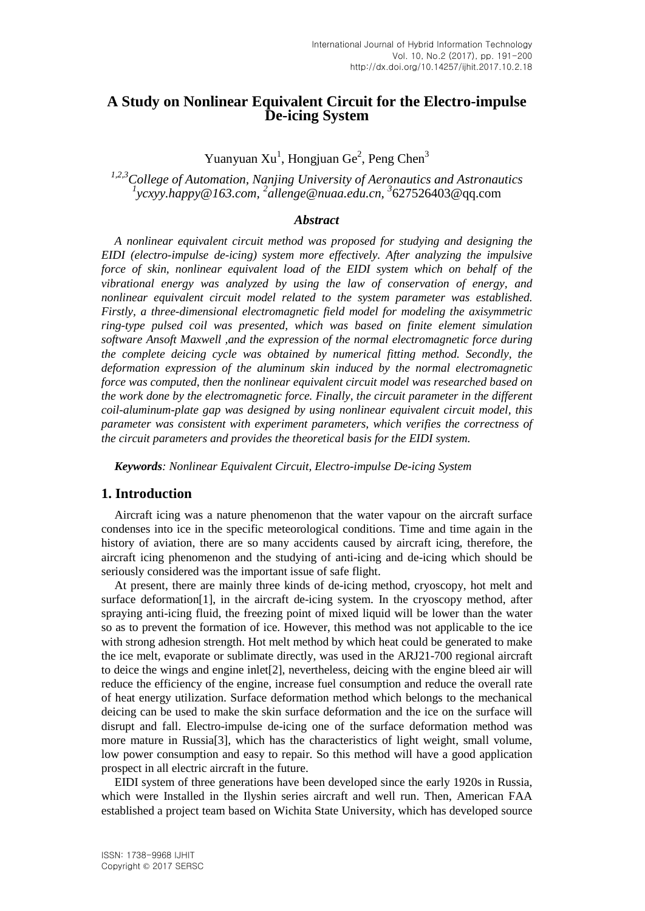# **A Study on Nonlinear Equivalent Circuit for the Electro-impulse De-icing System**

Yuanyuan Xu<sup>1</sup>, Hongjuan Ge<sup>2</sup>, Peng Chen<sup>3</sup>

<sup>1,2,3</sup>College of Automation, Nanjing University of Aeronautics and Astronautics<br><sup>1</sup>ycxyy.happy@163.com, <sup>2</sup>allenge@nuaa.edu.cn, <sup>3</sup>627526403@qq.com

## *Abstract*

*A nonlinear equivalent circuit method was proposed for studying and designing the EIDI (electro-impulse de-icing) system more effectively. After analyzing the impulsive force of skin, nonlinear equivalent load of the EIDI system which on behalf of the vibrational energy was analyzed by using the law of conservation of energy, and nonlinear equivalent circuit model related to the system parameter was established. Firstly, a three-dimensional electromagnetic field model for modeling the axisymmetric ring-type pulsed coil was presented, which was based on finite element simulation software Ansoft Maxwell ,and the expression of the normal electromagnetic force during the complete deicing cycle was obtained by numerical fitting method. Secondly, the deformation expression of the aluminum skin induced by the normal electromagnetic force was computed, then the nonlinear equivalent circuit model was researched based on the work done by the electromagnetic force. Finally, the circuit parameter in the different coil-aluminum-plate gap was designed by using nonlinear equivalent circuit model, this parameter was consistent with experiment parameters, which verifies the correctness of the circuit parameters and provides the theoretical basis for the EIDI system.*

*Keywords: Nonlinear Equivalent Circuit, Electro-impulse De-icing System*

### **1. Introduction**

Aircraft icing was a nature phenomenon that the water vapour on the aircraft surface condenses into ice in the specific meteorological conditions. Time and time again in the history of aviation, there are so many accidents caused by aircraft icing, therefore, the aircraft icing phenomenon and the studying of anti-icing and de-icing which should be seriously considered was the important issue of safe flight.

At present, there are mainly three kinds of de-icing method, cryoscopy, hot melt and surface deformation[1], in the aircraft de-icing system. In the cryoscopy method, after spraying anti-icing fluid, the freezing point of mixed liquid will be lower than the water so as to prevent the formation of ice. However, this method was not applicable to the ice with strong adhesion strength. Hot melt method by which heat could be generated to make the ice melt, evaporate or sublimate directly, was used in the ARJ21-700 regional aircraft to deice the wings and engine inlet[2], nevertheless, deicing with the engine bleed air will reduce the efficiency of the engine, increase fuel consumption and reduce the overall rate of heat energy utilization. Surface deformation method which belongs to the mechanical deicing can be used to make the skin surface deformation and the ice on the surface will disrupt and fall. Electro-impulse de-icing one of the surface deformation method was more mature in Russia[3], which has the characteristics of light weight, small volume, low power consumption and easy to repair. So this method will have a good application prospect in all electric aircraft in the future.

EIDI system of three generations have been developed since the early 1920s in Russia, which were Installed in the Ilyshin series aircraft and well run. Then, American FAA established a project team based on Wichita State University, which has developed source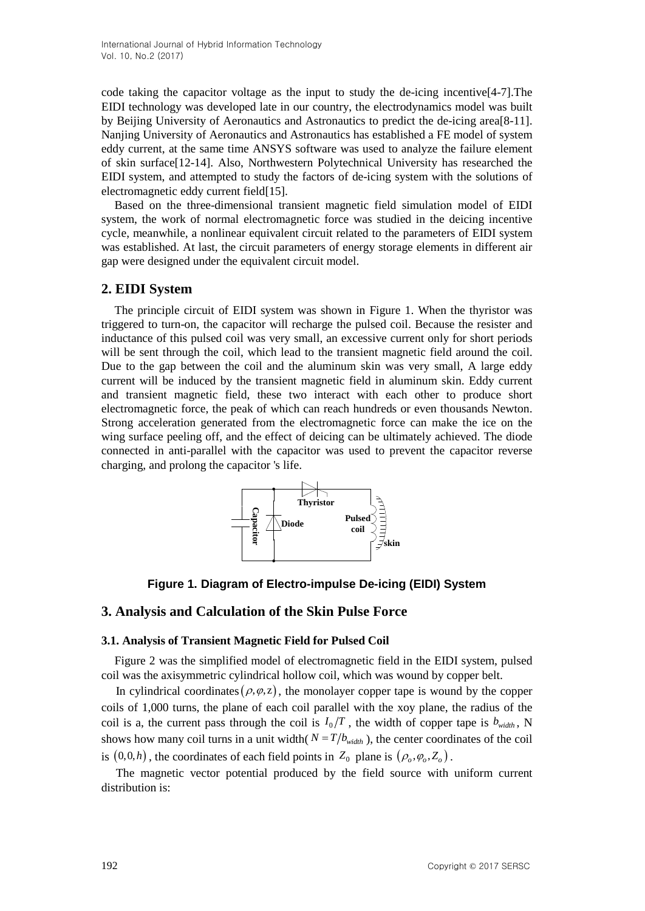code taking the capacitor voltage as the input to study the de-icing incentive[4-7].The EIDI technology was developed late in our country, the electrodynamics model was built by Beijing University of Aeronautics and Astronautics to predict the de-icing area[8-11]. Nanjing University of Aeronautics and Astronautics has established a FE model of system eddy current, at the same time ANSYS software was used to analyze the failure element of skin surface[12-14]. Also, Northwestern Polytechnical University has researched the EIDI system, and attempted to study the factors of de-icing system with the solutions of electromagnetic eddy current field[15].

Based on the three-dimensional transient magnetic field simulation model of EIDI system, the work of normal electromagnetic force was studied in the deicing incentive cycle, meanwhile, a nonlinear equivalent circuit related to the parameters of EIDI system was established. At last, the circuit parameters of energy storage elements in different air gap were designed under the equivalent circuit model.

# **2. EIDI System**

The principle circuit of EIDI system was shown in Figure 1. When the thyristor was triggered to turn-on, the capacitor will recharge the pulsed coil. Because the resister and inductance of this pulsed coil was very small, an excessive current only for short periods will be sent through the coil, which lead to the transient magnetic field around the coil. Due to the gap between the coil and the aluminum skin was very small, A large eddy current will be induced by the transient magnetic field in aluminum skin. Eddy current and transient magnetic field, these two interact with each other to produce short electromagnetic force, the peak of which can reach hundreds or even thousands Newton. Strong acceleration generated from the electromagnetic force can make the ice on the wing surface peeling off, and the effect of deicing can be ultimately achieved. The diode connected in anti-parallel with the capacitor was used to prevent the capacitor reverse charging, and prolong the capacitor 's life.



**Figure 1. Diagram of Electro-impulse De-icing (EIDI) System**

# **3. Analysis and Calculation of the Skin Pulse Force**

### **3.1. Analysis of Transient Magnetic Field for Pulsed Coil**

Figure 2 was the simplified model of electromagnetic field in the EIDI system, pulsed coil was the axisymmetric cylindrical hollow coil, which was wound by copper belt.

In cylindrical coordinates  $(\rho, \varphi, z)$ , the monolayer copper tape is wound by the copper coils of 1,000 turns, the plane of each coil parallel with the xoy plane, the radius of the coil is a, the current pass through the coil is  $I_0/T$ , the width of copper tape is  $b_{width}$ , N shows how many coil turns in a unit width( $N = T/b_{width}$ ), the center coordinates of the coil is  $(0,0,h)$ , the coordinates of each field points in  $Z_0$  plane is  $(\rho_o, \varphi_o, Z_o)$ .

The magnetic vector potential produced by the field source with uniform current distribution is: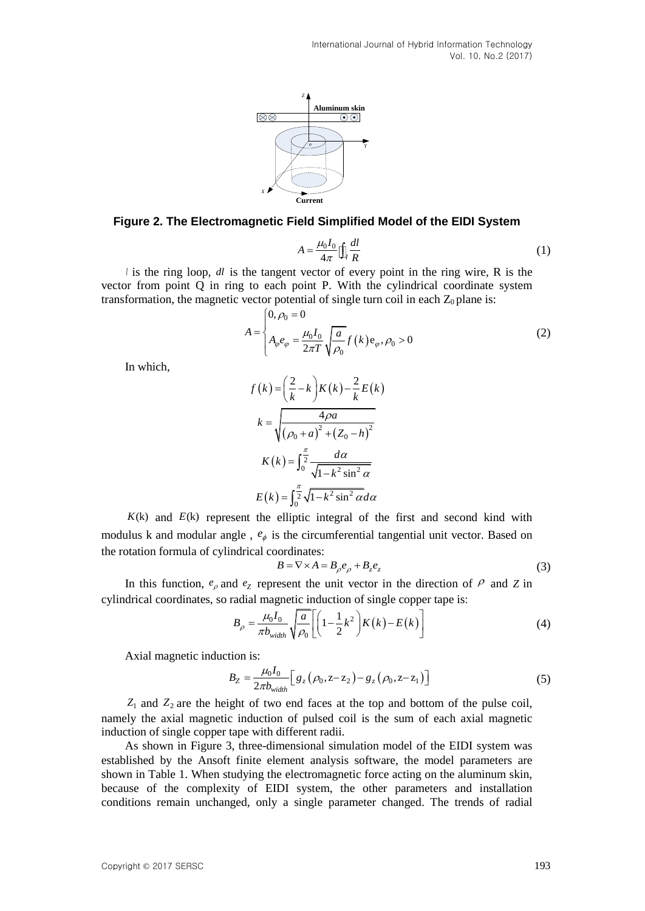

#### **Figure 2. The Electromagnetic Field Simplified Model of the EIDI System**

$$
A = \frac{\mu_0 I_0}{4\pi} \iint_R \frac{dl}{R}
$$
 (1)

*l* is the ring loop, *dl* is the tangent vector of every point in the ring wire, R is the vector from point Q in ring to each point P. With the cylindrical coordinate system transformation, the magnetic vector potential of single turn coil in each  $Z_0$  plane is:<br> $[0, \rho_0 = 0$ 

$$
A = \begin{cases} 0, \rho_0 = 0 \\ A_{\varphi} e_{\varphi} = \frac{\mu_0 I_0}{2\pi T} \sqrt{\frac{a}{\rho_0}} f(k) e_{\varphi}, \rho_0 > 0 \end{cases}
$$
 (2)

In which,

$$
f(k) = \left(\frac{2}{k} - k\right)K(k) - \frac{2}{k}E(k)
$$

$$
k = \sqrt{\frac{4\rho a}{\left(\rho_0 + a\right)^2 + \left(Z_0 - h\right)^2}}
$$

$$
K(k) = \int_0^{\frac{\pi}{2}} \frac{d\alpha}{\sqrt{1 - k^2 \sin^2 \alpha}}
$$

$$
E(k) = \int_0^{\frac{\pi}{2}} \sqrt{1 - k^2 \sin^2 \alpha} d\alpha
$$

 $K(k)$  and  $E(k)$  represent the elliptic integral of the first and second kind with modulus k and modular angle,  $e_{\phi}$  is the circumferential tangential unit vector. Based on the rotation formula of cylindrical coordinates:

$$
B = \nabla \times A = B_{\rho} e_{\rho} + B_{z} e_{z}
$$
 (3)

In this function,  $e_{\rho}$  and  $e_{\rho}$  represent the unit vector in the direction of  $\rho$  and  $Z$  in cylindrical coordinates, so radial magnetic induction of single copper tape is:<br> $B = \frac{\mu_0 I_0}{\mu_0} \left[ \frac{a}{1 - \frac{1}{2} k^2} \right] K(k) - E(k)$ 

$$
B_{\rho} = \frac{\mu_0 I_0}{\pi b_{\text{width}}} \sqrt{\frac{a}{\rho_0}} \left[ \left( 1 - \frac{1}{2} k^2 \right) K(k) - E(k) \right] \tag{4}
$$

Axial magnetic induction is:

$$
B_Z = \frac{\mu_0 I_0}{2\pi b_{width}} \Big[ g_z (\rho_0, z - z_2) - g_z (\rho_0, z - z_1) \Big]
$$
 (5)

 $Z_1$  and  $Z_2$  are the height of two end faces at the top and bottom of the pulse coil, namely the axial magnetic induction of pulsed coil is the sum of each axial magnetic induction of single copper tape with different radii.

As shown in Figure 3, three-dimensional simulation model of the EIDI system was established by the Ansoft finite element analysis software, the model parameters are shown in Table 1. When studying the electromagnetic force acting on the aluminum skin, because of the complexity of EIDI system, the other parameters and installation conditions remain unchanged, only a single parameter changed. The trends of radial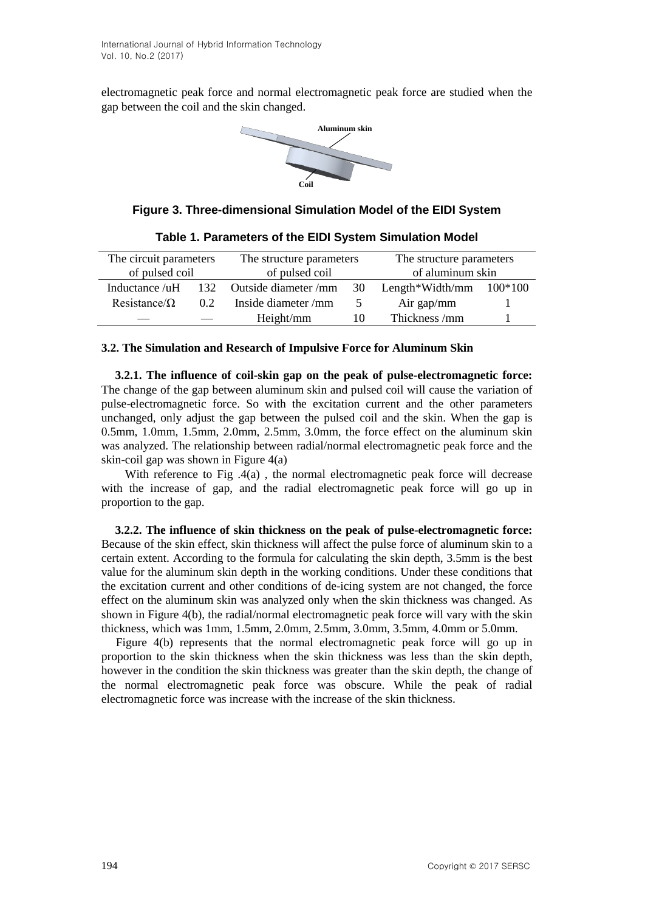electromagnetic peak force and normal electromagnetic peak force are studied when the gap between the coil and the skin changed.



**Figure 3. Three-dimensional Simulation Model of the EIDI System**

| The circuit parameters |               | The structure parameters |               | The structure parameters  |  |
|------------------------|---------------|--------------------------|---------------|---------------------------|--|
| of pulsed coil         |               | of pulsed coil           |               | of aluminum skin          |  |
| Inductance /uH         |               | 132 Outside diameter/mm  | 30            | Length*Width/mm $100*100$ |  |
| Resistance/ $\Omega$   | $0.2^{\circ}$ | Inside diameter/mm       | $\mathcal{L}$ | Air gap/mm                |  |
|                        |               | Height/mm                | 10            | Thickness/mm              |  |

**Table 1. Parameters of the EIDI System Simulation Model**

### **3.2. The Simulation and Research of Impulsive Force for Aluminum Skin**

**3.2.1. The influence of coil-skin gap on the peak of pulse-electromagnetic force:** The change of the gap between aluminum skin and pulsed coil will cause the variation of pulse-electromagnetic force. So with the excitation current and the other parameters unchanged, only adjust the gap between the pulsed coil and the skin. When the gap is 0.5mm, 1.0mm, 1.5mm, 2.0mm, 2.5mm, 3.0mm, the force effect on the aluminum skin was analyzed. The relationship between radial/normal electromagnetic peak force and the skin-coil gap was shown in Figure 4(a)

With reference to Fig  $.4(a)$ , the normal electromagnetic peak force will decrease with the increase of gap, and the radial electromagnetic peak force will go up in proportion to the gap.

**3.2.2. The influence of skin thickness on the peak of pulse-electromagnetic force:** Because of the skin effect, skin thickness will affect the pulse force of aluminum skin to a certain extent. According to the formula for calculating the skin depth, 3.5mm is the best value for the aluminum skin depth in the working conditions. Under these conditions that the excitation current and other conditions of de-icing system are not changed, the force effect on the aluminum skin was analyzed only when the skin thickness was changed. As shown in Figure 4(b), the radial/normal electromagnetic peak force will vary with the skin thickness, which was 1mm, 1.5mm, 2.0mm, 2.5mm, 3.0mm, 3.5mm, 4.0mm or 5.0mm.

Figure 4(b) represents that the normal electromagnetic peak force will go up in proportion to the skin thickness when the skin thickness was less than the skin depth, however in the condition the skin thickness was greater than the skin depth, the change of the normal electromagnetic peak force was obscure. While the peak of radial electromagnetic force was increase with the increase of the skin thickness.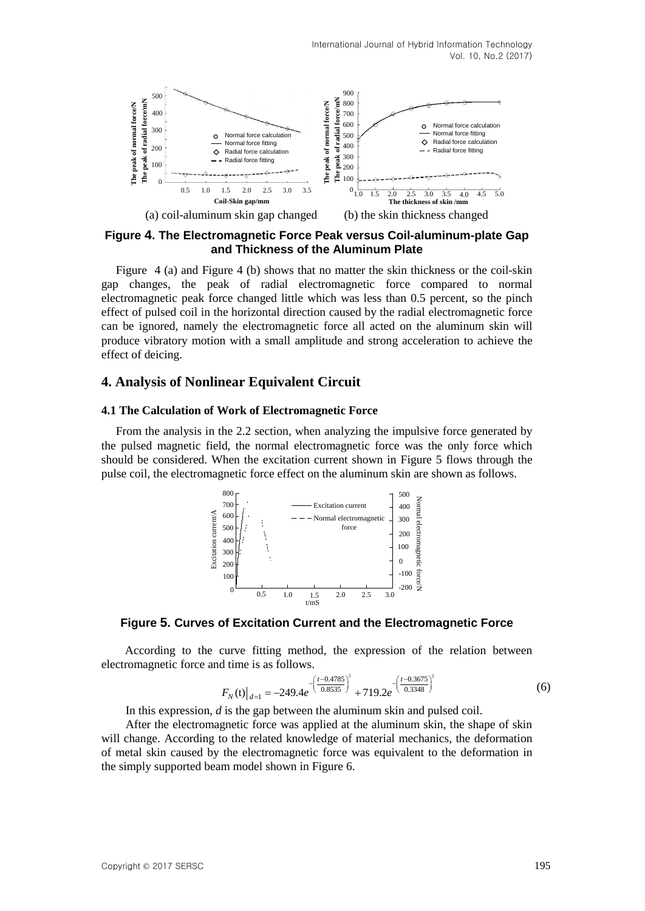

**Figure 4. The Electromagnetic Force Peak versus Coil-aluminum-plate Gap and Thickness of the Aluminum Plate**

Example the state of the state of the state of the state of the state of the state of the state of the state of the state of the state of the state of the state of the state of the state of the state of the state of the s Figure 4 (a) and Figure 4 (b) shows that no matter the skin thickness or the coil-skin gap changes, the peak of radial electromagnetic force compared to normal electromagnetic peak force changed little which was less than 0.5 percent, so the pinch effect of pulsed coil in the horizontal direction caused by the radial electromagnetic force can be ignored, namely the electromagnetic force all acted on the aluminum skin will produce vibratory motion with a small amplitude and strong acceleration to achieve the effect of deicing.

#### **4. Analysis of Nonlinear Equivalent Circuit**

#### **4.1 The Calculation of Work of Electromagnetic Force**

From the analysis in the 2.2 section, when analyzing the impulsive force generated by the pulsed magnetic field, the normal electromagnetic force was the only force which should be considered. When the excitation current shown in Figure 5 flows through the pulse coil, the electromagnetic force effect on the aluminum skin are shown as follows.



### **Figure 5. Curves of Excitation Current and the Electromagnetic Force**

According to the curve fitting method, the expression of the relation between electromagnetic force and time is as follows.

d time is as 10110ws.  
\n
$$
F_N(t)|_{d=1} = -249.4e^{-\left(\frac{t - 0.4785}{0.8535}\right)^2} + 719.2e^{-\left(\frac{t - 0.3675}{0.3348}\right)^2}
$$
\n(6)

In this expression, *d* is the gap between the aluminum skin and pulsed coil.

After the electromagnetic force was applied at the aluminum skin, the shape of skin will change. According to the related knowledge of material mechanics, the deformation of metal skin caused by the electromagnetic force was equivalent to the deformation in the simply supported beam model shown in Figure 6.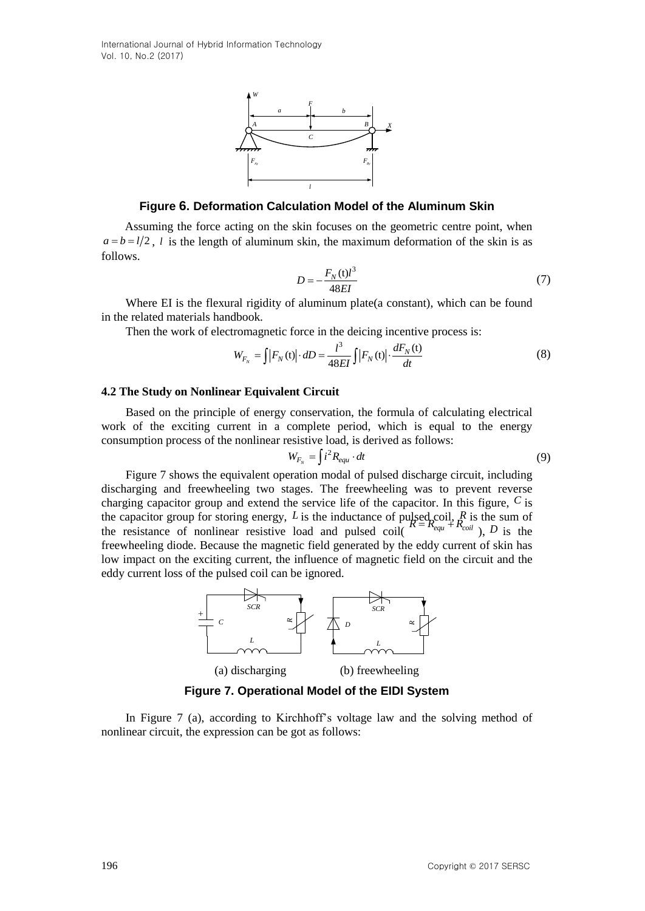

**Figure 6. Deformation Calculation Model of the Aluminum Skin**

Assuming the force acting on the skin focuses on the geometric centre point, when  $a = b = l/2$ , *l* is the length of aluminum skin, the maximum deformation of the skin is as follows.

$$
D = -\frac{F_N(t)l^3}{48EI} \tag{7}
$$

Where EI is the flexural rigidity of aluminum plate(a constant), which can be found in the related materials handbook.

Then the work of electromagnetic force in the deciding incentive process is:  
\n
$$
W_{F_N} = \int |F_N(t)| \cdot dD = \frac{l^3}{48EI} \int |F_N(t)| \cdot \frac{dF_N(t)}{dt}
$$
\n(8)

#### **4.2 The Study on Nonlinear Equivalent Circuit**

Based on the principle of energy conservation, the formula of calculating electrical work of the exciting current in a complete period, which is equal to the energy consumption process of the nonlinear resistive load, is derived as follows:

$$
W_{F_N} = \int i^2 R_{equ} \cdot dt \tag{9}
$$

**Figure 6. Determines Contained and Service Contained Burning State<br>
1960 Copyright Contained Contained Burnicles and the Aluminum State<br>
Assuming the form acting on the skin function bottom of the skin is a<br>**  $\alpha = -2\alpha$ **,** Figure 7 shows the equivalent operation modal of pulsed discharge circuit, including discharging and freewheeling two stages. The freewheeling was to prevent reverse charging capacitor group and extend the service life of the capacitor. In this figure, *C* is the capacitor group for storing energy, L is the inductance of pulsed<sub>p</sub>coil,  $^R_R$  is the sum of the resistance of nonlinear resistive load and pulsed coil( $R = R_{equ} + R_{coil}$ ), *D* is the freewheeling diode. Because the magnetic field generated by the eddy current of skin has low impact on the exciting current, the influence of magnetic field on the circuit and the eddy current loss of the pulsed coil can be ignored.



**Figure 7. Operational Model of the EIDI System**

In Figure 7 (a), according to Kirchhoff's voltage law and the solving method of nonlinear circuit, the expression can be got as follows: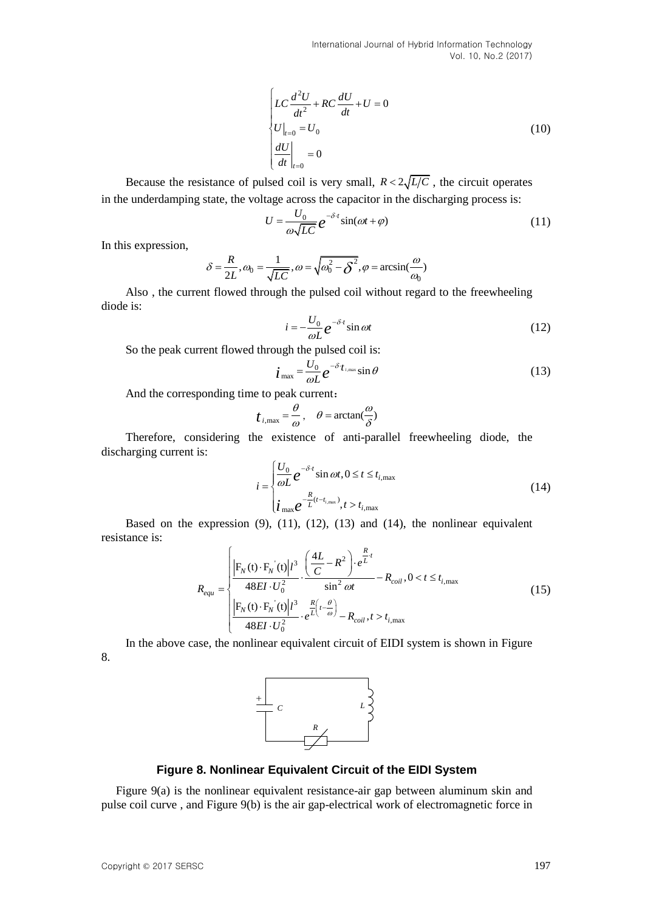$$
\begin{cases}\nLC \frac{d^2 U}{dt^2} + RC \frac{dU}{dt} + U = 0 \\
U|_{t=0} = U_0 \\
\left. \frac{dU}{dt} \right|_{t=0} = 0\n\end{cases}
$$
\n(10)

Because the resistance of pulsed coil is very small,  $R < 2\sqrt{L/C}$ , the circuit operates in the underdamping state, the voltage across the capacitor in the discharging process is:

$$
U = \frac{U_0}{\omega \sqrt{LC}} e^{-\delta \cdot t} \sin(\omega t + \varphi)
$$
 (11)

In this expression,

$$
\delta = \frac{R}{2L}, \omega_0 = \frac{1}{\sqrt{LC}}, \omega = \sqrt{\omega_0^2 - \overline{\delta}^2}, \varphi = \arcsin(\frac{\omega}{\omega_0})
$$

Also , the current flowed through the pulsed coil without regard to the freewheeling diode is:

$$
i = -\frac{U_0}{\omega L} e^{-\delta t} \sin \omega t \tag{12}
$$

So the peak current flowed through the pulsed coil is:

$$
\dot{\boldsymbol{i}}_{\text{max}} = \frac{U_0}{\omega L} e^{-\delta \cdot \boldsymbol{t}_{i,\text{max}}} \sin \theta \tag{13}
$$

And the corresponding time to peak current:

$$
t_{i,\max} = \frac{\theta}{\omega}, \quad \theta = \arctan(\frac{\omega}{\delta})
$$

Therefore, considering the existence of anti-parallel freewheeling diode, the discharging current is:

$$
i = \begin{cases} \frac{U_0}{\omega L} e^{-\delta \cdot t} \sin \omega t, 0 \le t \le t_{i, \text{max}} \\ i_{\text{max}} e^{-\frac{R}{L}(t - t_{i, \text{max}})}, t > t_{i, \text{max}} \end{cases}
$$
(14)

Based on the expression (9), (11), (12), (13) and (14), the nonlinear equivalent resistance is:

$$
R_{equ} = \begin{cases} \left| \mathbf{F}_{N}(t) \cdot \mathbf{F}_{N}(t) \right| l^{3} \cdot \left( \frac{4L}{C} - R^{2} \right) \cdot e^{\frac{R}{L}t} \\ \frac{48EI \cdot U_{0}^{2}}{48EI \cdot U_{0}^{2}} \cdot \frac{\sin^{2} \omega t}{\sin^{2} \omega t} - R_{coil}, 0 < t \leq t_{i, \text{max}} \end{cases}
$$
(15)  

$$
\frac{\left| \mathbf{F}_{N}(t) \cdot \mathbf{F}_{N}(t) \right| l^{3}}{48EI \cdot U_{0}^{2}} \cdot e^{\frac{R}{L} \left( t - \frac{\theta}{\omega} \right)} - R_{coil}, t > t_{i, \text{max}}
$$

In the above case, the nonlinear equivalent circuit of EIDI system is shown in Figure 8.



#### **Figure 8. Nonlinear Equivalent Circuit of the EIDI System**

Figure 9(a) is the nonlinear equivalent resistance-air gap between aluminum skin and pulse coil curve , and Figure 9(b) is the air gap-electrical work of electromagnetic force in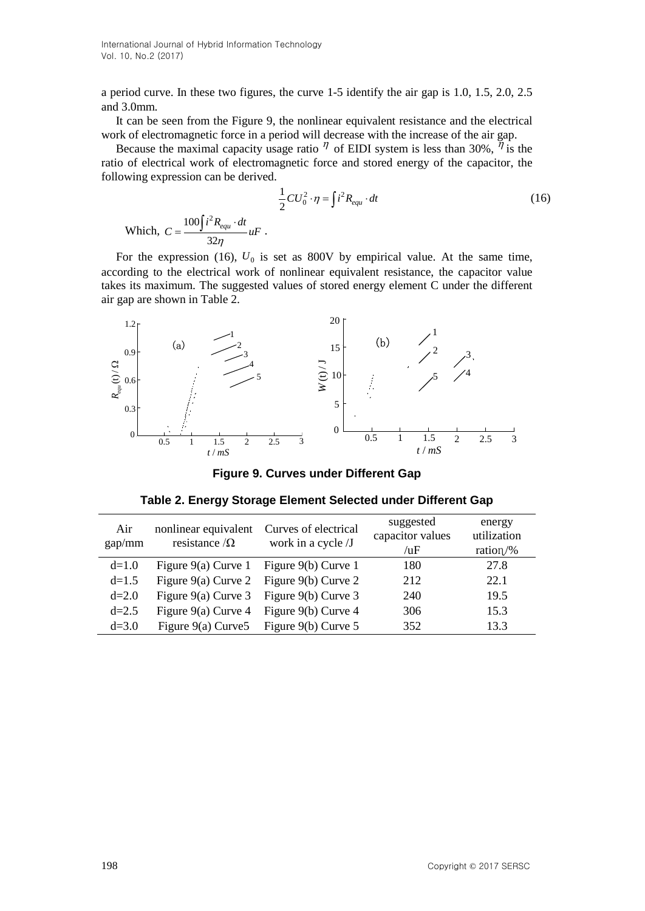a period curve. In these two figures, the curve 1-5 identify the air gap is 1.0, 1.5, 2.0, 2.5 and 3.0mm.

It can be seen from the Figure 9, the nonlinear equivalent resistance and the electrical work of electromagnetic force in a period will decrease with the increase of the air gap.

Because the maximal capacity usage ratio  $\eta$  of EIDI system is less than 30%,  $\eta$  is the ratio of electrical work of electromagnetic force and stored energy of the capacitor, the following expression can be derived.

$$
\frac{1}{2}CU_0^2 \cdot \eta = \int i^2 R_{equ} \cdot dt
$$
\nWhich, 
$$
C = \frac{100 \int i^2 R_{equ} \cdot dt}{32\eta} uF
$$
.

\n(16)

For the expression (16),  $U_0$  is set as 800V by empirical value. At the same time, according to the electrical work of nonlinear equivalent resistance, the capacitor value takes its maximum. The suggested values of stored energy element C under the different air gap are shown in Table 2.



**Figure 9. Curves under Different Gap**

| Table 2. Energy Storage Element Selected under Different Gap |  |  |
|--------------------------------------------------------------|--|--|
|--------------------------------------------------------------|--|--|

| Air<br>gap/mm | nonlinear equivalent<br>resistance $\Omega$ | Curves of electrical<br>work in a cycle /J | suggested<br>capacitor values<br>/uF | energy<br>utilization<br>ration/% |
|---------------|---------------------------------------------|--------------------------------------------|--------------------------------------|-----------------------------------|
| $d=1.0$       | Figure 9(a) Curve 1 Figure 9(b) Curve 1     |                                            | 180                                  | 27.8                              |
| $d=1.5$       |                                             | Figure 9(a) Curve 2 Figure 9(b) Curve 2    | 212                                  | 22.1                              |
| $d=2.0$       | Figure 9(a) Curve 3 Figure 9(b) Curve 3     |                                            | 240                                  | 19.5                              |
| $d=2.5$       | Figure $9(a)$ Curve 4                       | Figure 9(b) Curve 4                        | 306                                  | 15.3                              |
| $d=3.0$       | Figure $9(a)$ Curve 5                       | Figure 9(b) Curve 5                        | 352                                  | 13.3                              |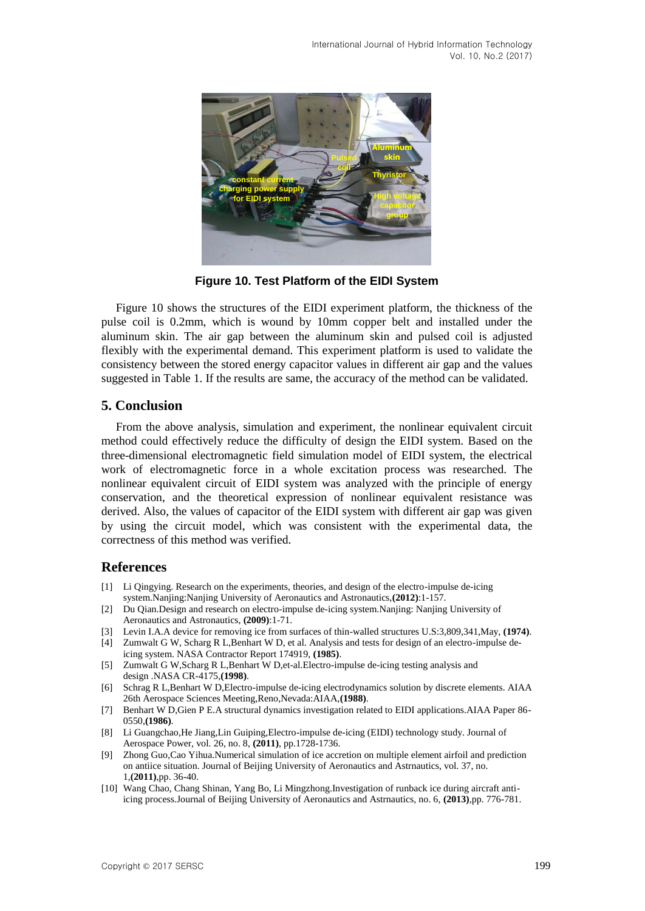

**Figure 10. Test Platform of the EIDI System**

Figure 10 shows the structures of the EIDI experiment platform, the thickness of the pulse coil is 0.2mm, which is wound by 10mm copper belt and installed under the aluminum skin. The air gap between the aluminum skin and pulsed coil is adjusted flexibly with the experimental demand. This experiment platform is used to validate the consistency between the stored energy capacitor values in different air gap and the values suggested in Table 1. If the results are same, the accuracy of the method can be validated.

## **5. Conclusion**

From the above analysis, simulation and experiment, the nonlinear equivalent circuit method could effectively reduce the difficulty of design the EIDI system. Based on the three-dimensional electromagnetic field simulation model of EIDI system, the electrical work of electromagnetic force in a whole excitation process was researched. The nonlinear equivalent circuit of EIDI system was analyzed with the principle of energy conservation, and the theoretical expression of nonlinear equivalent resistance was derived. Also, the values of capacitor of the EIDI system with different air gap was given by using the circuit model, which was consistent with the experimental data, the correctness of this method was verified.

## **References**

- [1] Li Qingying. Research on the experiments, theories, and design of the electro-impulse de-icing system.Nanjing:Nanjing University of Aeronautics and Astronautics,**(2012)**:1-157.
- [2] Du Qian.Design and research on electro-impulse de-icing system.Nanjing: Nanjing University of Aeronautics and Astronautics, **(2009)**:1-71.
- [3] Levin I.A.A device for removing ice from surfaces of thin-walled structures U.S:3,809,341,May, **(1974)**.
- [4] Zumwalt G W, Scharg R L,Benhart W D, et al. Analysis and tests for design of an electro-impulse deicing system. NASA Contractor Report 174919, **(1985)**.
- [5] Zumwalt G W,Scharg R L,Benhart W D,et-al.Electro-impulse de-icing testing analysis and design .NASA CR-4175,**(1998)**.
- [6] Schrag R L,Benhart W D,Electro-impulse de-icing electrodynamics solution by discrete elements. AIAA 26th Aerospace Sciences Meeting,Reno,Nevada:AIAA,**(1988)**.
- [7] Benhart W D,Gien P E.A structural dynamics investigation related to EIDI applications.AIAA Paper 86- 0550,**(1986)**.
- [8] Li Guangchao,He Jiang,Lin Guiping,Electro-impulse de-icing (EIDI) technology study. Journal of Aerospace Power, vol. 26, no. 8, **(2011)**, pp.1728-1736.
- [9] Zhong Guo,Cao Yihua.Numerical simulation of ice accretion on multiple element airfoil and prediction on antiice situation. Journal of Beijing University of Aeronautics and Astrnautics, vol. 37, no. 1,**(2011)**,pp. 36-40.
- [10] Wang Chao, Chang Shinan, Yang Bo, Li Mingzhong.Investigation of runback ice during aircraft antiicing process.Journal of Beijing University of Aeronautics and Astrnautics, no. 6, **(2013)**,pp. 776-781.